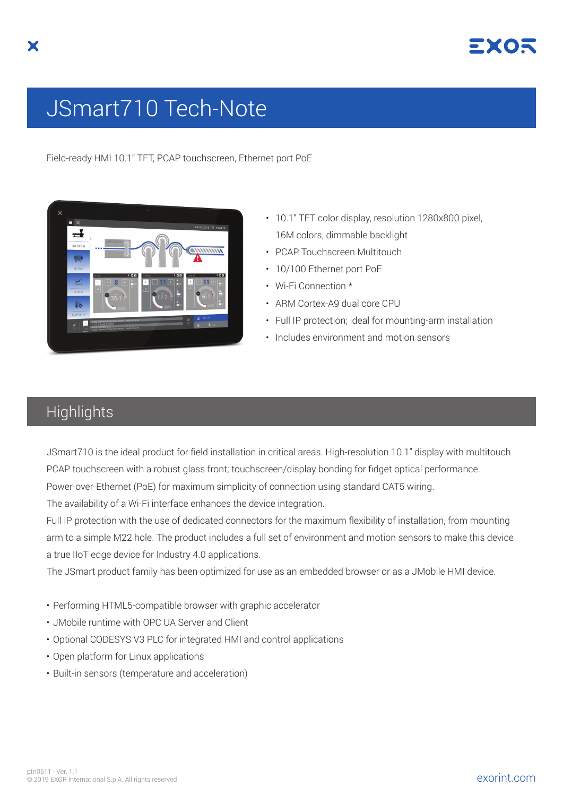

## JSmart710 Tech-Note

Field-ready HMI 10.1" TFT, PCAP touchscreen, Ethernet port PoE



- 10.1" TFT color display, resolution 1280x800 pixel, 16M colors, dimmable backlight
- PCAP Touchscreen Multitouch
- 10/100 Ethernet port PoE
- Wi-Fi Connection \*
- ARM Cortex-A9 dual core CPU
- Full IP protection; ideal for mounting-arm installation
- Includes environment and motion sensors

## **Highlights**

JSmart710 is the ideal product for field installation in critical areas. High-resolution 10.1" display with multitouch PCAP touchscreen with a robust glass front; touchscreen/display bonding for fidget optical performance. Power-over-Ethernet (PoE) for maximum simplicity of connection using standard CAT5 wiring.

The availability of a Wi-Fi interface enhances the device integration.

Full IP protection with the use of dedicated connectors for the maximum flexibility of installation, from mounting arm to a simple M22 hole. The product includes a full set of environment and motion sensors to make this device a true IIoT edge device for Industry 4.0 applications.

The JSmart product family has been optimized for use as an embedded browser or as a JMobile HMI device.

- Performing HTML5-compatible browser with graphic accelerator
- JMobile runtime with OPC UA Server and Client
- Optional CODESYS V3 PLC for integrated HMI and control applications
- Open platform for Linux applications
- Built-in sensors (temperature and acceleration)